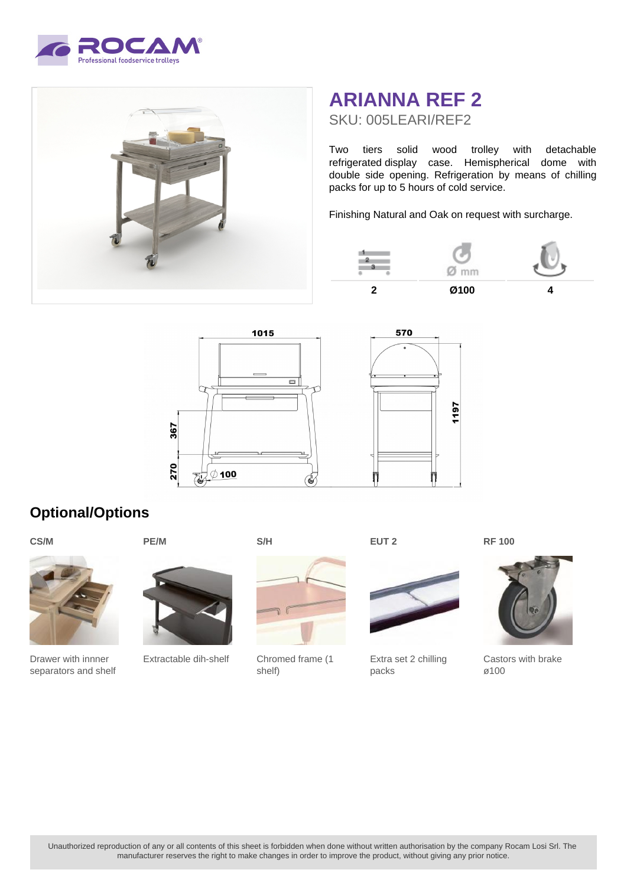



## **ARIANNA REF 2** SKU: 005LEARI/REF2

Two tiers solid wood trolley with detachable refrigerated display case. Hemispherical dome with double side opening. Refrigeration by means of chilling packs for up to 5 hours of cold service.

Finishing Natural and Oak on request with surcharge.





## **Optional/Options**





Drawer with innner separators and shelf



Extractable dih-shelf



Chromed frame (1 shelf)

**EUT 2**



Extra set 2 chilling packs



**RF 100**

Castors with brake ø100